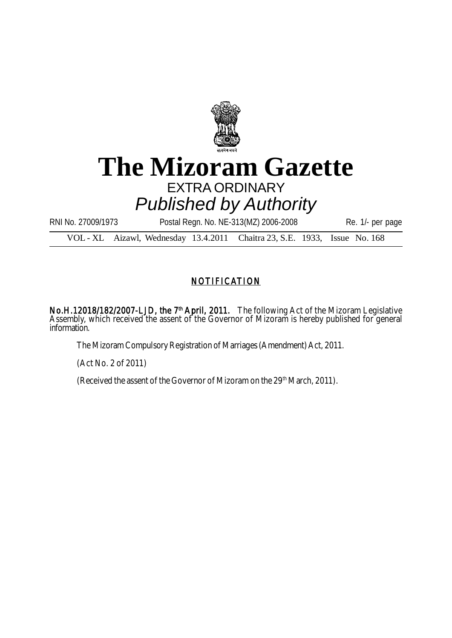

## **The Mizoram Gazette** EXTRA ORDINARY *Published by Authority*

RNI No. 27009/1973 Postal Regn. No. NE-313(MZ) 2006-2008 Re. 1/- per page

VOL - XL Aizawl, Wednesday 13.4.2011 Chaitra 23, S.E. 1933, Issue No. 168

## NOTIFICATION

No.H.12018/182/2007-LJD, the 7<sup>th</sup> April, 2011. The following Act of the Mizoram Legislative Assembly, which received the assent of the Governor of Mizoram is hereby published for general information.

The Mizoram Compulsory Registration of Marriages (Amendment) Act, 2011.

(Act No. 2 of 2011)

(Received the assent of the Governor of Mizoram on the 29<sup>th</sup> March, 2011).